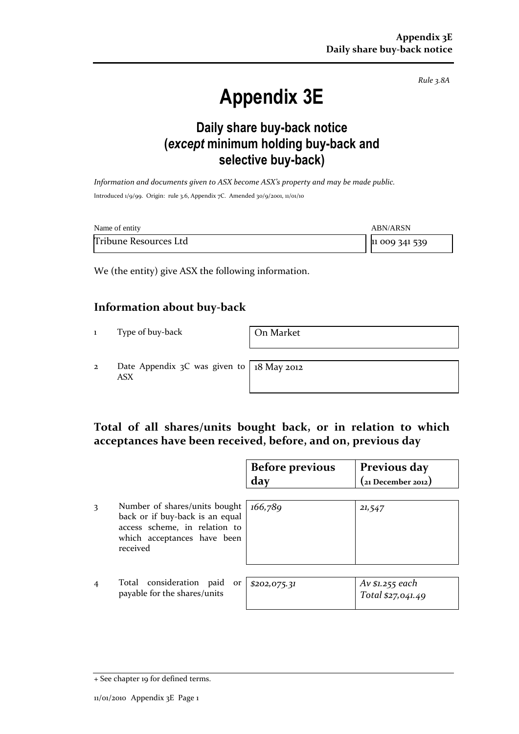*Rule 3.8A*

# **Appendix 3E**

## **Daily share buy-back notice (***except* **minimum holding buy-back and selective buy-back)**

*Information and documents given to ASX become ASX's property and may be made public.* Introduced 1/9/99. Origin: rule 3.6, Appendix 7C. Amended 30/9/2001, 11/01/10

| Name of entity        | <b>ABN/ARSN</b> |
|-----------------------|-----------------|
| Tribune Resources Ltd | 11 009 341 539  |

We (the entity) give ASX the following information.

#### **Information about buy-back**

1 Type of buy-back On Market

2 Date Appendix 3C was given to ASX

18 May 2012

## **Total of all shares/units bought back, or in relation to which acceptances have been received, before, and on, previous day**

|                |                                                                                                                                              | <b>Before previous</b> | Previous day                         |  |
|----------------|----------------------------------------------------------------------------------------------------------------------------------------------|------------------------|--------------------------------------|--|
|                |                                                                                                                                              | day                    | (21 December 2012)                   |  |
| 3              | Number of shares/units bought<br>back or if buy-back is an equal<br>access scheme, in relation to<br>which acceptances have been<br>received | 166,789                | 21,547                               |  |
| $\overline{4}$ | Total consideration paid<br>or<br>payable for the shares/units                                                                               | \$202,075.31           | Av \$1.255 each<br>Total \$27,041.49 |  |

<sup>+</sup> See chapter 19 for defined terms.